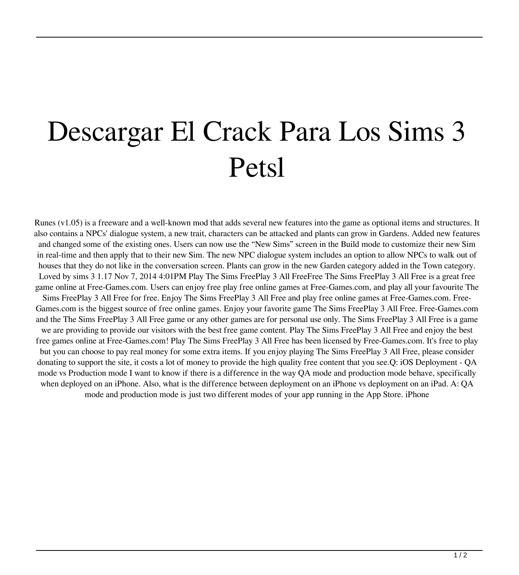## Descargar El Crack Para Los Sims 3 Petsl

Runes (v1.05) is a freeware and a well-known mod that adds several new features into the game as optional items and structures. It also contains a NPCs' dialogue system, a new trait, characters can be attacked and plants can grow in Gardens. Added new features and changed some of the existing ones. Users can now use the "New Sims" screen in the Build mode to customize their new Sim in real-time and then apply that to their new Sim. The new NPC dialogue system includes an option to allow NPCs to walk out of houses that they do not like in the conversation screen. Plants can grow in the new Garden category added in the Town category. Loved by sims 3 1.17 Nov 7, 2014 4:01PM Play The Sims FreePlay 3 All FreeFree The Sims FreePlay 3 All Free is a great free game online at Free-Games.com. Users can enjoy free play free online games at Free-Games.com, and play all your favourite The Sims FreePlay 3 All Free for free. Enjoy The Sims FreePlay 3 All Free and play free online games at Free-Games.com. Free-Games.com is the biggest source of free online games. Enjoy your favorite game The Sims FreePlay 3 All Free. Free-Games.com and the The Sims FreePlay 3 All Free game or any other games are for personal use only. The Sims FreePlay 3 All Free is a game we are providing to provide our visitors with the best free game content. Play The Sims FreePlay 3 All Free and enjoy the best free games online at Free-Games.com! Play The Sims FreePlay 3 All Free has been licensed by Free-Games.com. It's free to play but you can choose to pay real money for some extra items. If you enjoy playing The Sims FreePlay 3 All Free, please consider donating to support the site, it costs a lot of money to provide the high quality free content that you see.Q: iOS Deployment - QA mode vs Production mode I want to know if there is a difference in the way QA mode and production mode behave, specifically when deployed on an iPhone. Also, what is the difference between deployment on an iPhone vs deployment on an iPad. A: QA mode and production mode is just two different modes of your app running in the App Store. iPhone